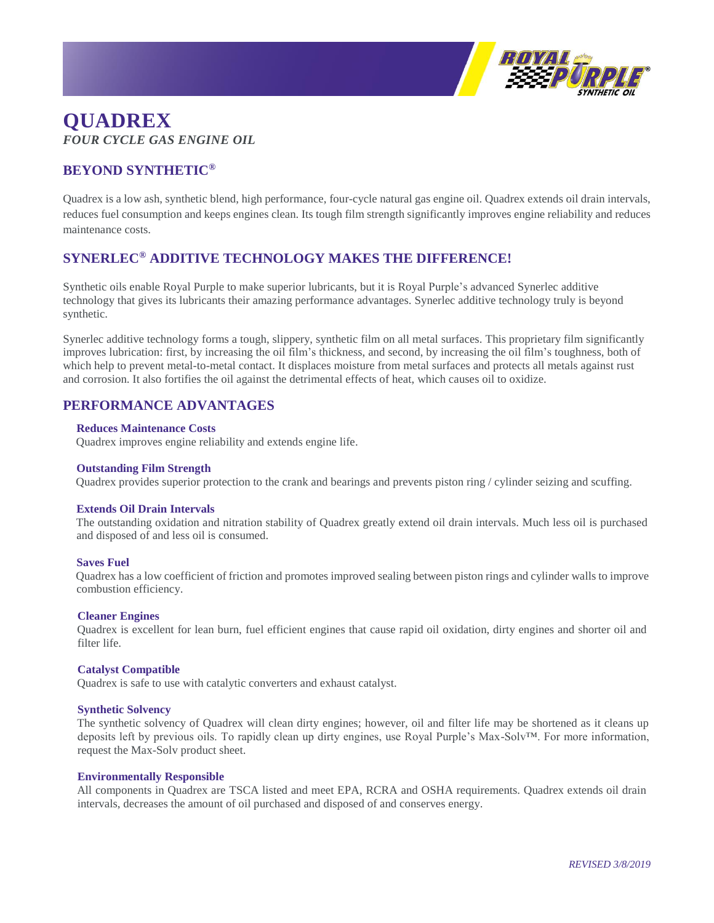

# **QUADREX** *FOUR CYCLE GAS ENGINE OIL*

# **BEYOND SYNTHETIC®**

Quadrex is a low ash, synthetic blend, high performance, four-cycle natural gas engine oil. Quadrex extends oil drain intervals, reduces fuel consumption and keeps engines clean. Its tough film strength significantly improves engine reliability and reduces maintenance costs.

# **SYNERLEC® ADDITIVE TECHNOLOGY MAKES THE DIFFERENCE!**

Synthetic oils enable Royal Purple to make superior lubricants, but it is Royal Purple's advanced Synerlec additive technology that gives its lubricants their amazing performance advantages. Synerlec additive technology truly is beyond synthetic.

Synerlec additive technology forms a tough, slippery, synthetic film on all metal surfaces. This proprietary film significantly improves lubrication: first, by increasing the oil film's thickness, and second, by increasing the oil film's toughness, both of which help to prevent metal-to-metal contact. It displaces moisture from metal surfaces and protects all metals against rust and corrosion. It also fortifies the oil against the detrimental effects of heat, which causes oil to oxidize.

# **PERFORMANCE ADVANTAGES**

## **Reduces Maintenance Costs**

Quadrex improves engine reliability and extends engine life.

#### **Outstanding Film Strength**

Quadrex provides superior protection to the crank and bearings and prevents piston ring / cylinder seizing and scuffing.

## **Extends Oil Drain Intervals**

The outstanding oxidation and nitration stability of Quadrex greatly extend oil drain intervals. Much less oil is purchased and disposed of and less oil is consumed.

#### **Saves Fuel**

Quadrex has a low coefficient of friction and promotes improved sealing between piston rings and cylinder walls to improve combustion efficiency.

#### **Cleaner Engines**

Quadrex is excellent for lean burn, fuel efficient engines that cause rapid oil oxidation, dirty engines and shorter oil and filter life.

## **Catalyst Compatible**

Quadrex is safe to use with catalytic converters and exhaust catalyst.

#### **Synthetic Solvency**

The synthetic solvency of Quadrex will clean dirty engines; however, oil and filter life may be shortened as it cleans up deposits left by previous oils. To rapidly clean up dirty engines, use Royal Purple's Max-Solv™. For more information, request the Max-Solv product sheet.

#### **Environmentally Responsible**

All components in Quadrex are TSCA listed and meet EPA, RCRA and OSHA requirements. Quadrex extends oil drain intervals, decreases the amount of oil purchased and disposed of and conserves energy.